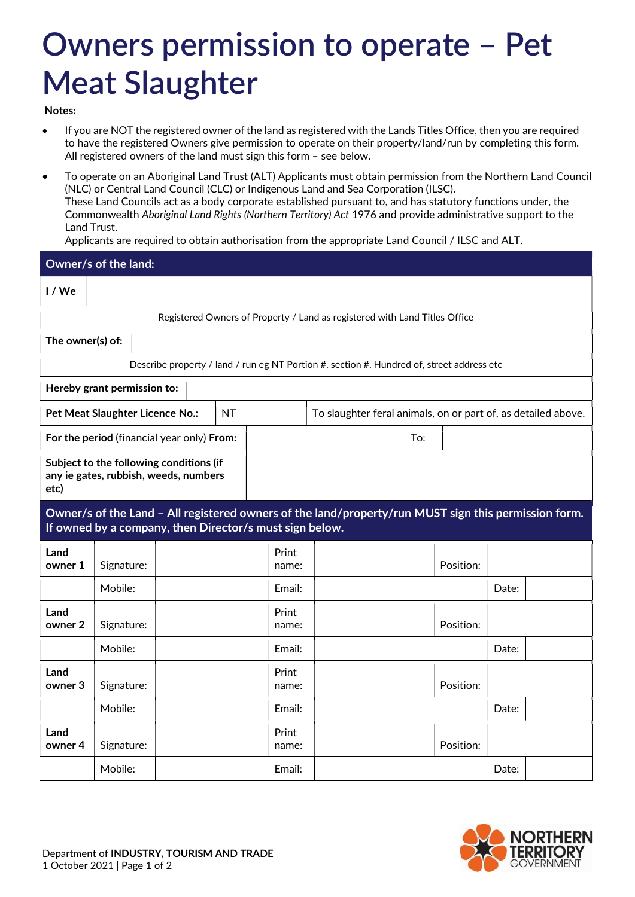## Owners permission to operate – Pet Meat Slaughter

Notes:

- If you are NOT the registered owner of the land as registered with the Lands Titles Office, then you are required to have the registered Owners give permission to operate on their property/land/run by completing this form. All registered owners of the land must sign this form – see below.
- To operate on an Aboriginal Land Trust (ALT) Applicants must obtain permission from the Northern Land Council (NLC) or Central Land Council (CLC) or Indigenous Land and Sea Corporation (ILSC). These Land Councils act as a body corporate established pursuant to, and has statutory functions under, the Commonwealth Aboriginal Land Rights (Northern Territory) Act 1976 and provide administrative support to the Land Trust.

Applicants are required to obtain authorisation from the appropriate Land Council / ILSC and ALT.

| Owner/s of the land:                                                                                                                                            |                                                                                  |  |  |                |                                                                                           |                                                               |           |       |  |  |
|-----------------------------------------------------------------------------------------------------------------------------------------------------------------|----------------------------------------------------------------------------------|--|--|----------------|-------------------------------------------------------------------------------------------|---------------------------------------------------------------|-----------|-------|--|--|
| I/We                                                                                                                                                            |                                                                                  |  |  |                |                                                                                           |                                                               |           |       |  |  |
|                                                                                                                                                                 |                                                                                  |  |  |                | Registered Owners of Property / Land as registered with Land Titles Office                |                                                               |           |       |  |  |
| The owner(s) of:                                                                                                                                                |                                                                                  |  |  |                |                                                                                           |                                                               |           |       |  |  |
|                                                                                                                                                                 |                                                                                  |  |  |                | Describe property / land / run eg NT Portion #, section #, Hundred of, street address etc |                                                               |           |       |  |  |
|                                                                                                                                                                 | Hereby grant permission to:                                                      |  |  |                |                                                                                           |                                                               |           |       |  |  |
| <b>NT</b><br>Pet Meat Slaughter Licence No.:                                                                                                                    |                                                                                  |  |  |                |                                                                                           | To slaughter feral animals, on or part of, as detailed above. |           |       |  |  |
| For the period (financial year only) From:                                                                                                                      |                                                                                  |  |  |                |                                                                                           | To:                                                           |           |       |  |  |
| etc)                                                                                                                                                            | Subject to the following conditions (if<br>any ie gates, rubbish, weeds, numbers |  |  |                |                                                                                           |                                                               |           |       |  |  |
| Owner/s of the Land - All registered owners of the land/property/run MUST sign this permission form.<br>If owned by a company, then Director/s must sign below. |                                                                                  |  |  |                |                                                                                           |                                                               |           |       |  |  |
| Land<br>owner 1                                                                                                                                                 | Signature:                                                                       |  |  | Print<br>name: |                                                                                           |                                                               | Position: |       |  |  |
|                                                                                                                                                                 | Mobile:                                                                          |  |  | Email:         |                                                                                           |                                                               |           | Date: |  |  |
| Land<br>owner 2                                                                                                                                                 | Signature:                                                                       |  |  | Print<br>name: |                                                                                           |                                                               | Position: |       |  |  |
|                                                                                                                                                                 | Mobile:                                                                          |  |  | Email:         |                                                                                           |                                                               |           | Date: |  |  |
| Land<br>owner 3                                                                                                                                                 | Signature:                                                                       |  |  | Print<br>name: |                                                                                           |                                                               | Position: |       |  |  |

Mobile: Email: Date:

Mobile: Email: Date:

name: | Position:

Print

Land

owner  $4$  | Signature: